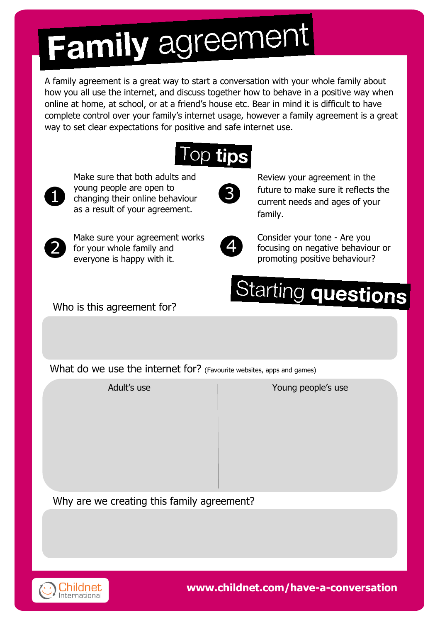# **Family agreement**

A family agreement is a great way to start a conversation with your whole family about how you all use the internet, and discuss together how to behave in a positive way when online at home, at school, or at a friend's house etc. Bear in mind it is difficult to have complete control over your family's internet usage, however a family agreement is a great way to set clear expectations for positive and safe internet use.



Make sure that both adults and young people are open to changing their online behaviour as a result of your agreement.



Review your agreement in the future to make sure it reflects the current needs and ages of your family.



Make sure your agreement works for your whole family and everyone is happy with it.



Consider your tone - Are you focusing on negative behaviour or promoting positive behaviour?

# Starting questions

Who is this agreement for?

What do we use the internet for? (Favourite websites, apps and games)

Adult's use Adult's use Adult's use Adult's use

Why are we creating this family agreement?



**www.childnet.com/have-a-conversation**